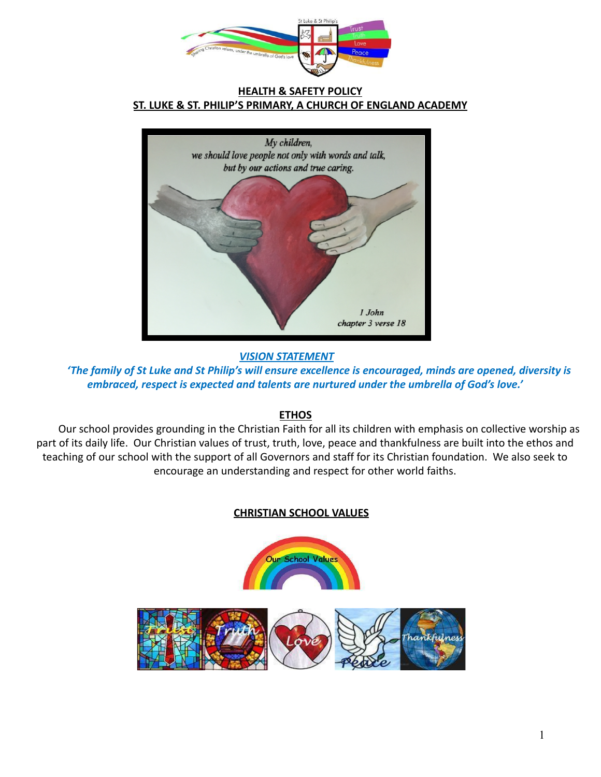

#### **HEALTH & SAFETY POLICY ST. LUKE & ST. PHILIP'S PRIMARY, A CHURCH OF ENGLAND ACADEMY**



*VISION STATEMENT*

*'The family of St Luke and St Philip's will ensure excellence is encouraged, minds are opened, diversity is embraced, respect is expected and talents are nurtured under the umbrella of God's love.'*

## **ETHOS**

Our school provides grounding in the Christian Faith for all its children with emphasis on collective worship as part of its daily life. Our Christian values of trust, truth, love, peace and thankfulness are built into the ethos and teaching of our school with the support of all Governors and staff for its Christian foundation. We also seek to encourage an understanding and respect for other world faiths.

## **CHRISTIAN SCHOOL VALUES**

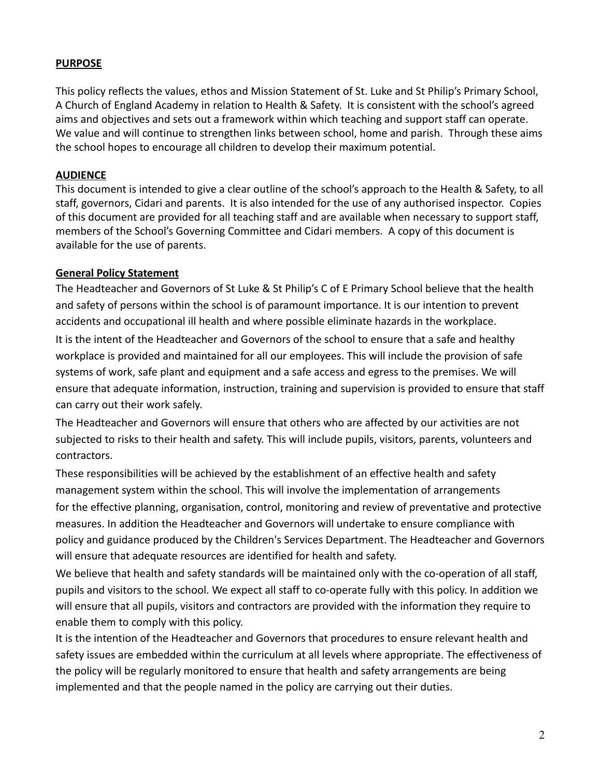#### **PURPOSE**

This policy reflects the values, ethos and Mission Statement of St. Luke and St Philip's Primary School, A Church of England Academy in relation to Health & Safety. It is consistent with the school's agreed aims and objectives and sets out a framework within which teaching and support staff can operate. We value and will continue to strengthen links between school, home and parish. Through these aims the school hopes to encourage all children to develop their maximum potential.

#### **AUDIENCE**

This document is intended to give a clear outline of the school's approach to the Health & Safety, to all staff, governors, Cidari and parents. It is also intended for the use of any authorised inspector. Copies of this document are provided for all teaching staff and are available when necessary to support staff, members of the School's Governing Committee and Cidari members. A copy of this document is available for the use of parents.

### **General Policy Statement**

The Headteacher and Governors of St Luke & St Philip's C of E Primary School believe that the health and safety of persons within the school is of paramount importance. It is our intention to prevent accidents and occupational ill health and where possible eliminate hazards in the workplace. It is the intent of the Headteacher and Governors of the school to ensure that a safe and healthy workplace is provided and maintained for all our employees. This will include the provision of safe systems of work, safe plant and equipment and a safe access and egress to the premises. We will ensure that adequate information, instruction, training and supervision is provided to ensure that staff can carry out their work safely.

The Headteacher and Governors will ensure that others who are affected by our activities are not subjected to risks to their health and safety. This will include pupils, visitors, parents, volunteers and contractors.

These responsibilities will be achieved by the establishment of an effective health and safety management system within the school. This will involve the implementation of arrangements for the effective planning, organisation, control, monitoring and review of preventative and protective measures. In addition the Headteacher and Governors will undertake to ensure compliance with policy and guidance produced by the Children's Services Department. The Headteacher and Governors will ensure that adequate resources are identified for health and safety.

We believe that health and safety standards will be maintained only with the co-operation of all staff, pupils and visitors to the school. We expect all staff to co-operate fully with this policy. In addition we will ensure that all pupils, visitors and contractors are provided with the information they require to enable them to comply with this policy.

It is the intention of the Headteacher and Governors that procedures to ensure relevant health and safety issues are embedded within the curriculum at all levels where appropriate. The effectiveness of the policy will be regularly monitored to ensure that health and safety arrangements are being implemented and that the people named in the policy are carrying out their duties.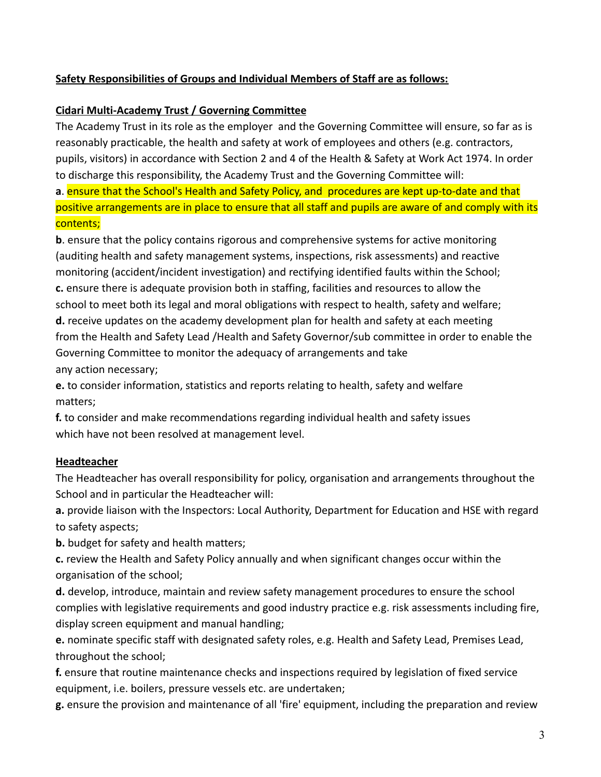## **Safety Responsibilities of Groups and Individual Members of Staff are as follows:**

### **Cidari Multi-Academy Trust / Governing Committee**

The Academy Trust in its role as the employer and the Governing Committee will ensure, so far as is reasonably practicable, the health and safety at work of employees and others (e.g. contractors, pupils, visitors) in accordance with Section 2 and 4 of the Health & Safety at Work Act 1974. In order to discharge this responsibility, the Academy Trust and the Governing Committee will:

**a**. ensure that the School's Health and Safety Policy, and procedures are kept up-to-date and that positive arrangements are in place to ensure that all staff and pupils are aware of and comply with its contents;

**b**. ensure that the policy contains rigorous and comprehensive systems for active monitoring (auditing health and safety management systems, inspections, risk assessments) and reactive monitoring (accident/incident investigation) and rectifying identified faults within the School; **c.** ensure there is adequate provision both in staffing, facilities and resources to allow the school to meet both its legal and moral obligations with respect to health, safety and welfare; **d.** receive updates on the academy development plan for health and safety at each meeting from the Health and Safety Lead /Health and Safety Governor/sub committee in order to enable the Governing Committee to monitor the adequacy of arrangements and take any action necessary;

**e.** to consider information, statistics and reports relating to health, safety and welfare matters;

**f.** to consider and make recommendations regarding individual health and safety issues which have not been resolved at management level.

## **Headteacher**

The Headteacher has overall responsibility for policy, organisation and arrangements throughout the School and in particular the Headteacher will:

**a.** provide liaison with the Inspectors: Local Authority, Department for Education and HSE with regard to safety aspects;

**b.** budget for safety and health matters;

**c.** review the Health and Safety Policy annually and when significant changes occur within the organisation of the school;

**d.** develop, introduce, maintain and review safety management procedures to ensure the school complies with legislative requirements and good industry practice e.g. risk assessments including fire, display screen equipment and manual handling;

**e.** nominate specific staff with designated safety roles, e.g. Health and Safety Lead, Premises Lead, throughout the school;

**f.** ensure that routine maintenance checks and inspections required by legislation of fixed service equipment, i.e. boilers, pressure vessels etc. are undertaken;

**g.** ensure the provision and maintenance of all 'fire' equipment, including the preparation and review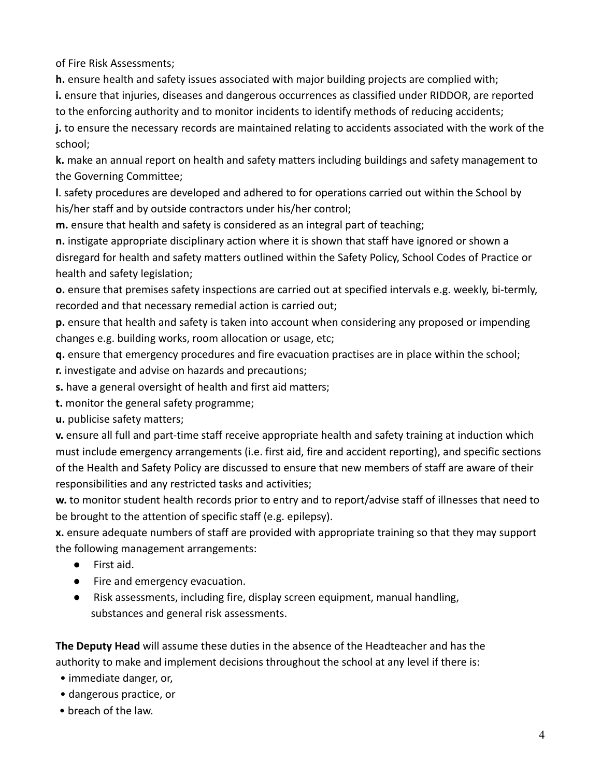of Fire Risk Assessments;

**h.** ensure health and safety issues associated with major building projects are complied with; **i.** ensure that injuries, diseases and dangerous occurrences as classified under RIDDOR, are reported to the enforcing authority and to monitor incidents to identify methods of reducing accidents; **j.** to ensure the necessary records are maintained relating to accidents associated with the work of the school;

**k.** make an annual report on health and safety matters including buildings and safety management to the Governing Committee;

**l**. safety procedures are developed and adhered to for operations carried out within the School by his/her staff and by outside contractors under his/her control;

**m.** ensure that health and safety is considered as an integral part of teaching;

**n.** instigate appropriate disciplinary action where it is shown that staff have ignored or shown a disregard for health and safety matters outlined within the Safety Policy, School Codes of Practice or health and safety legislation;

**o.** ensure that premises safety inspections are carried out at specified intervals e.g. weekly, bi-termly, recorded and that necessary remedial action is carried out;

**p.** ensure that health and safety is taken into account when considering any proposed or impending changes e.g. building works, room allocation or usage, etc;

**q.** ensure that emergency procedures and fire evacuation practises are in place within the school;

**r.** investigate and advise on hazards and precautions;

- **s.** have a general oversight of health and first aid matters;
- **t.** monitor the general safety programme;

**u.** publicise safety matters;

**v.** ensure all full and part-time staff receive appropriate health and safety training at induction which must include emergency arrangements (i.e. first aid, fire and accident reporting), and specific sections of the Health and Safety Policy are discussed to ensure that new members of staff are aware of their responsibilities and any restricted tasks and activities;

**w.** to monitor student health records prior to entry and to report/advise staff of illnesses that need to be brought to the attention of specific staff (e.g. epilepsy).

**x.** ensure adequate numbers of staff are provided with appropriate training so that they may support the following management arrangements:

- First aid.
- Fire and emergency evacuation.
- Risk assessments, including fire, display screen equipment, manual handling, substances and general risk assessments.

**The Deputy Head** will assume these duties in the absence of the Headteacher and has the authority to make and implement decisions throughout the school at any level if there is:

- immediate danger, or,
- dangerous practice, or
- breach of the law.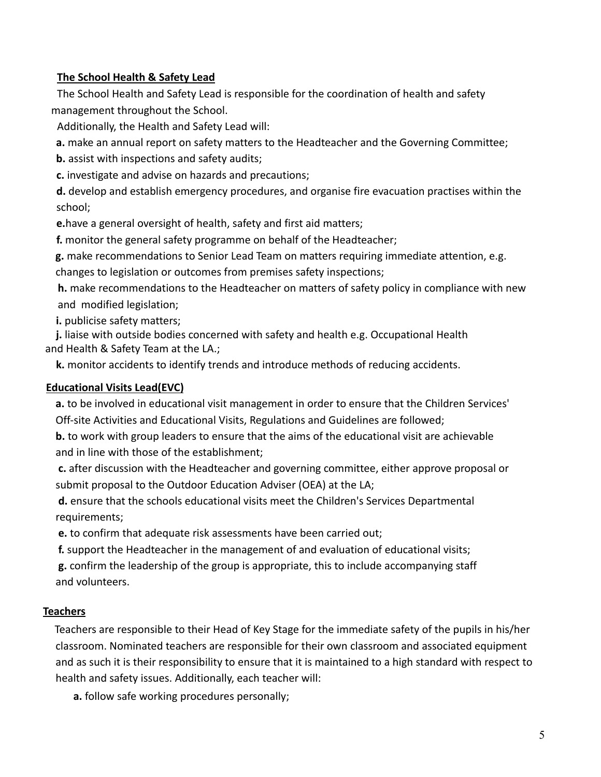### **The School Health & Safety Lead**

The School Health and Safety Lead is responsible for the coordination of health and safety management throughout the School.

Additionally, the Health and Safety Lead will:

**a.** make an annual report on safety matters to the Headteacher and the Governing Committee;

**b.** assist with inspections and safety audits;

**c.** investigate and advise on hazards and precautions;

**d.** develop and establish emergency procedures, and organise fire evacuation practises within the school;

**e.**have a general oversight of health, safety and first aid matters;

**f.** monitor the general safety programme on behalf of the Headteacher;

**g.** make recommendations to Senior Lead Team on matters requiring immediate attention, e.g.

changes to legislation or outcomes from premises safety inspections;

**h.** make recommendations to the Headteacher on matters of safety policy in compliance with new and modified legislation;

**i.** publicise safety matters;

**j.** liaise with outside bodies concerned with safety and health e.g. Occupational Health and Health & Safety Team at the LA.;

**k.** monitor accidents to identify trends and introduce methods of reducing accidents.

### **Educational Visits Lead(EVC)**

**a.** to be involved in educational visit management in order to ensure that the Children Services' Off-site Activities and Educational Visits, Regulations and Guidelines are followed;

**b.** to work with group leaders to ensure that the aims of the educational visit are achievable and in line with those of the establishment;

**c.** after discussion with the Headteacher and governing committee, either approve proposal or submit proposal to the Outdoor Education Adviser (OEA) at the LA;

**d.** ensure that the schools educational visits meet the Children's Services Departmental requirements;

**e.** to confirm that adequate risk assessments have been carried out;

**f.** support the Headteacher in the management of and evaluation of educational visits;

**g.** confirm the leadership of the group is appropriate, this to include accompanying staff and volunteers.

### **Teachers**

Teachers are responsible to their Head of Key Stage for the immediate safety of the pupils in his/her classroom. Nominated teachers are responsible for their own classroom and associated equipment and as such it is their responsibility to ensure that it is maintained to a high standard with respect to health and safety issues. Additionally, each teacher will:

**a.** follow safe working procedures personally;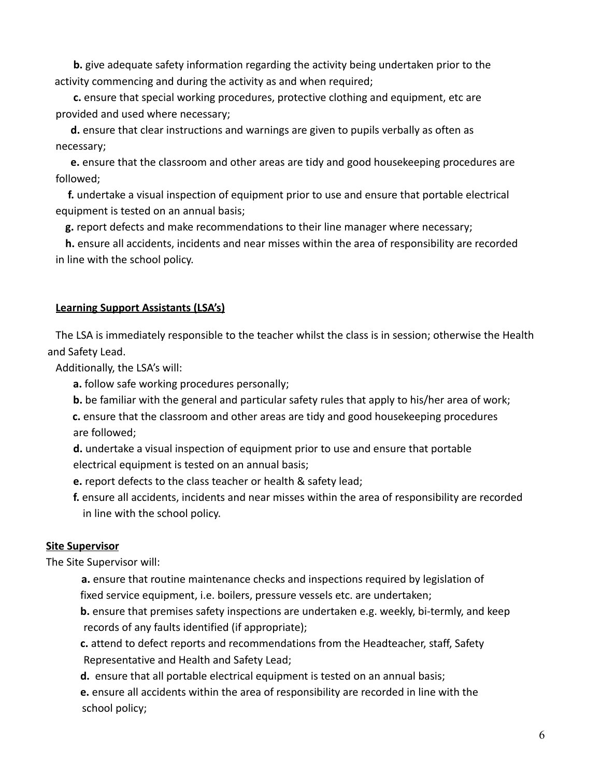**b.** give adequate safety information regarding the activity being undertaken prior to the activity commencing and during the activity as and when required;

**c.** ensure that special working procedures, protective clothing and equipment, etc are provided and used where necessary;

**d.** ensure that clear instructions and warnings are given to pupils verbally as often as necessary;

**e.** ensure that the classroom and other areas are tidy and good housekeeping procedures are followed;

**f.** undertake a visual inspection of equipment prior to use and ensure that portable electrical equipment is tested on an annual basis;

**g.** report defects and make recommendations to their line manager where necessary;

**h.** ensure all accidents, incidents and near misses within the area of responsibility are recorded in line with the school policy.

#### **Learning Support Assistants (LSA's)**

The LSA is immediately responsible to the teacher whilst the class is in session; otherwise the Health and Safety Lead.

Additionally, the LSA's will:

- **a.** follow safe working procedures personally;
- **b.** be familiar with the general and particular safety rules that apply to his/her area of work;
- **c.** ensure that the classroom and other areas are tidy and good housekeeping procedures are followed;

**d.** undertake a visual inspection of equipment prior to use and ensure that portable electrical equipment is tested on an annual basis;

- **e.** report defects to the class teacher or health & safety lead;
- **f.** ensure all accidents, incidents and near misses within the area of responsibility are recorded in line with the school policy.

#### **Site Supervisor**

The Site Supervisor will:

- **a.** ensure that routine maintenance checks and inspections required by legislation of fixed service equipment, i.e. boilers, pressure vessels etc. are undertaken;
- **b.** ensure that premises safety inspections are undertaken e.g. weekly, bi-termly, and keep records of any faults identified (if appropriate);
- **c.** attend to defect reports and recommendations from the Headteacher, staff, Safety Representative and Health and Safety Lead;
- **d.** ensure that all portable electrical equipment is tested on an annual basis;
- **e.** ensure all accidents within the area of responsibility are recorded in line with the school policy;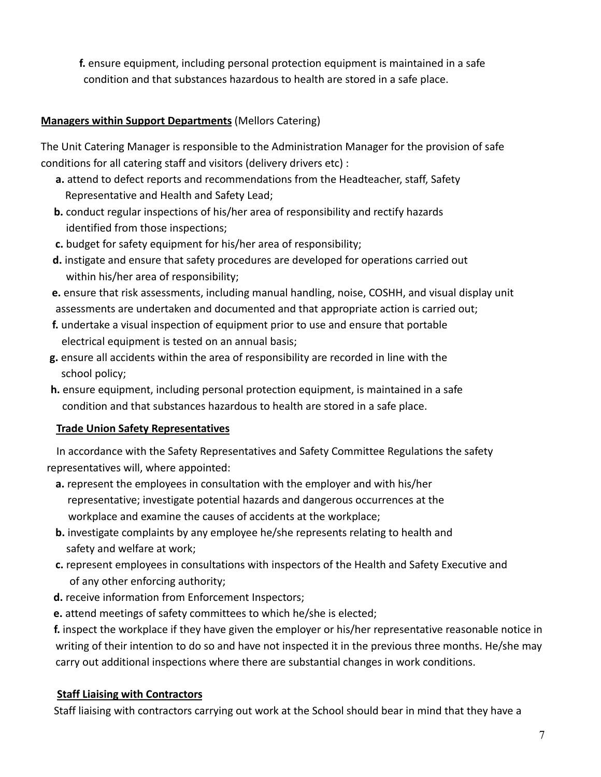**f.** ensure equipment, including personal protection equipment is maintained in a safe condition and that substances hazardous to health are stored in a safe place.

### **Managers within Support Departments** (Mellors Catering)

The Unit Catering Manager is responsible to the Administration Manager for the provision of safe conditions for all catering staff and visitors (delivery drivers etc) :

- **a.** attend to defect reports and recommendations from the Headteacher, staff, Safety Representative and Health and Safety Lead;
- **b.** conduct regular inspections of his/her area of responsibility and rectify hazards identified from those inspections;
- **c.** budget for safety equipment for his/her area of responsibility;
- **d.** instigate and ensure that safety procedures are developed for operations carried out within his/her area of responsibility;
- **e.** ensure that risk assessments, including manual handling, noise, COSHH, and visual display unit assessments are undertaken and documented and that appropriate action is carried out;
- **f.** undertake a visual inspection of equipment prior to use and ensure that portable electrical equipment is tested on an annual basis;
- **g.** ensure all accidents within the area of responsibility are recorded in line with the school policy;
- **h.** ensure equipment, including personal protection equipment, is maintained in a safe condition and that substances hazardous to health are stored in a safe place.

## **Trade Union Safety Representatives**

In accordance with the Safety Representatives and Safety Committee Regulations the safety representatives will, where appointed:

- **a.** represent the employees in consultation with the employer and with his/her representative; investigate potential hazards and dangerous occurrences at the workplace and examine the causes of accidents at the workplace;
- **b.** investigate complaints by any employee he/she represents relating to health and safety and welfare at work;
- **c.** represent employees in consultations with inspectors of the Health and Safety Executive and of any other enforcing authority;
- **d.** receive information from Enforcement Inspectors;
- **e.** attend meetings of safety committees to which he/she is elected;

**f.** inspect the workplace if they have given the employer or his/her representative reasonable notice in writing of their intention to do so and have not inspected it in the previous three months. He/she may carry out additional inspections where there are substantial changes in work conditions.

## **Staff Liaising with Contractors**

Staff liaising with contractors carrying out work at the School should bear in mind that they have a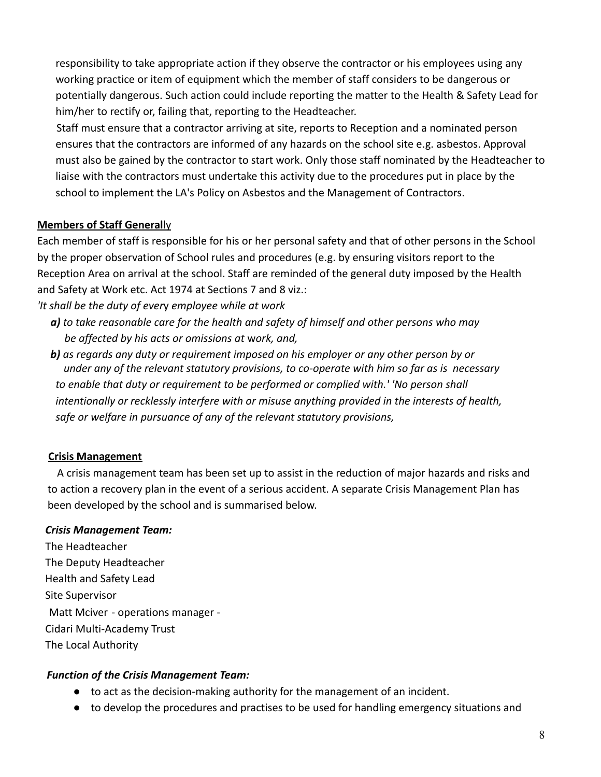responsibility to take appropriate action if they observe the contractor or his employees using any working practice or item of equipment which the member of staff considers to be dangerous or potentially dangerous. Such action could include reporting the matter to the Health & Safety Lead for him/her to rectify or, failing that, reporting to the Headteacher.

Staff must ensure that a contractor arriving at site, reports to Reception and a nominated person ensures that the contractors are informed of any hazards on the school site e.g. asbestos. Approval must also be gained by the contractor to start work. Only those staff nominated by the Headteacher to liaise with the contractors must undertake this activity due to the procedures put in place by the school to implement the LA's Policy on Asbestos and the Management of Contractors.

### **Members of Staff General**ly

Each member of staff is responsible for his or her personal safety and that of other persons in the School by the proper observation of School rules and procedures (e.g. by ensuring visitors report to the Reception Area on arrival at the school. Staff are reminded of the general duty imposed by the Health and Safety at Work etc. Act 1974 at Sections 7 and 8 viz.:

*'It shall be the duty of ever*y *employee while at work*

*a) to take reasonable care for the health and safety of himself and other persons who may be affected by his acts or omissions at* w*ork, and,*

*b) as regards any duty or requirement imposed on his employer or any other person by or under any of the relevant statutory provisions, to co-operate with him so far as is necessary to enable that duty or requirement to be performed or complied with.' 'No person shall intentionally or recklessly interfere with or misuse anything provided in the interests of health, safe or welfare in pursuance of any of the relevant statutory provisions,*

### **Crisis Management**

A crisis management team has been set up to assist in the reduction of major hazards and risks and to action a recovery plan in the event of a serious accident. A separate Crisis Management Plan has been developed by the school and is summarised below.

### *Crisis Management Team:*

The Headteacher The Deputy Headteacher Health and Safety Lead Site Supervisor [Matt Mciver](mailto:matt.mciver@cidari.co.uk) - operations manager - Cidari Multi-Academy Trust The Local Authority

### *Function of the Crisis Management Team:*

- to act as the decision-making authority for the management of an incident.
- to develop the procedures and practises to be used for handling emergency situations and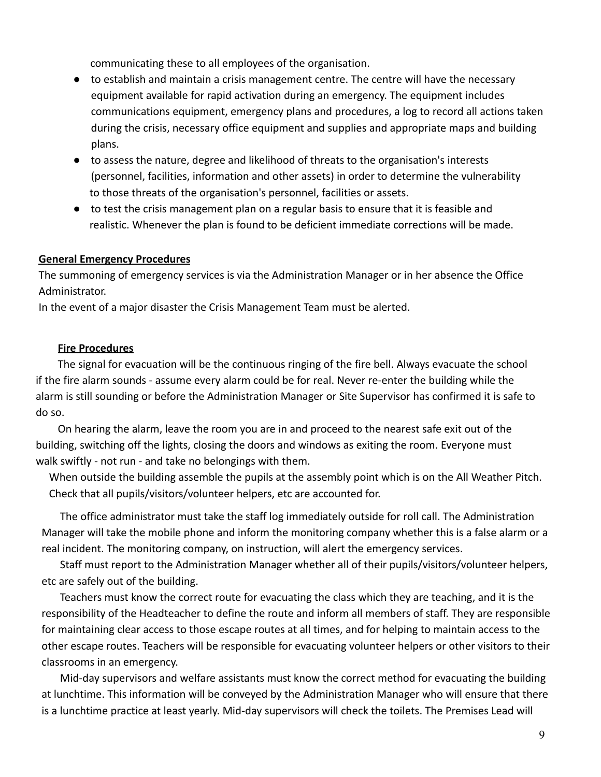communicating these to all employees of the organisation.

- to establish and maintain a crisis management centre. The centre will have the necessary equipment available for rapid activation during an emergency. The equipment includes communications equipment, emergency plans and procedures, a log to record all actions taken during the crisis, necessary office equipment and supplies and appropriate maps and building plans.
- to assess the nature, degree and likelihood of threats to the organisation's interests (personnel, facilities, information and other assets) in order to determine the vulnerability to those threats of the organisation's personnel, facilities or assets.
- to test the crisis management plan on a regular basis to ensure that it is feasible and realistic. Whenever the plan is found to be deficient immediate corrections will be made.

### **General Emergency Procedures**

The summoning of emergency services is via the Administration Manager or in her absence the Office Administrator.

In the event of a major disaster the Crisis Management Team must be alerted.

#### **Fire Procedures**

The signal for evacuation will be the continuous ringing of the fire bell. Always evacuate the school if the fire alarm sounds - assume every alarm could be for real. Never re-enter the building while the alarm is still sounding or before the Administration Manager or Site Supervisor has confirmed it is safe to do so.

On hearing the alarm, leave the room you are in and proceed to the nearest safe exit out of the building, switching off the lights, closing the doors and windows as exiting the room. Everyone must walk swiftly - not run - and take no belongings with them.

When outside the building assemble the pupils at the assembly point which is on the All Weather Pitch. Check that all pupils/visitors/volunteer helpers, etc are accounted for.

The office administrator must take the staff log immediately outside for roll call. The Administration Manager will take the mobile phone and inform the monitoring company whether this is a false alarm or a real incident. The monitoring company, on instruction, will alert the emergency services.

Staff must report to the Administration Manager whether all of their pupils/visitors/volunteer helpers, etc are safely out of the building.

Teachers must know the correct route for evacuating the class which they are teaching, and it is the responsibility of the Headteacher to define the route and inform all members of staff. They are responsible for maintaining clear access to those escape routes at all times, and for helping to maintain access to the other escape routes. Teachers will be responsible for evacuating volunteer helpers or other visitors to their classrooms in an emergency.

Mid-day supervisors and welfare assistants must know the correct method for evacuating the building at lunchtime. This information will be conveyed by the Administration Manager who will ensure that there is a lunchtime practice at least yearly. Mid-day supervisors will check the toilets. The Premises Lead will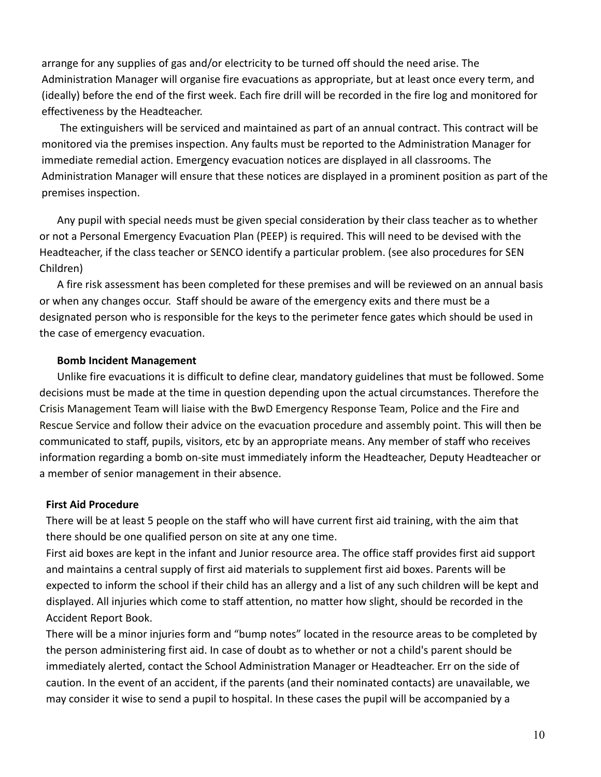arrange for any supplies of gas and/or electricity to be turned off should the need arise. The Administration Manager will organise fire evacuations as appropriate, but at least once every term, and (ideally) before the end of the first week. Each fire drill will be recorded in the fire log and monitored for effectiveness by the Headteacher.

The extinguishers will be serviced and maintained as part of an annual contract. This contract will be monitored via the premises inspection. Any faults must be reported to the Administration Manager for immediate remedial action. Emergency evacuation notices are displayed in all classrooms. The Administration Manager will ensure that these notices are displayed in a prominent position as part of the premises inspection.

Any pupil with special needs must be given special consideration by their class teacher as to whether or not a Personal Emergency Evacuation Plan (PEEP) is required. This will need to be devised with the Headteacher, if the class teacher or SENCO identify a particular problem. (see also procedures for SEN Children)

A fire risk assessment has been completed for these premises and will be reviewed on an annual basis or when any changes occur. Staff should be aware of the emergency exits and there must be a designated person who is responsible for the keys to the perimeter fence gates which should be used in the case of emergency evacuation.

#### **Bomb Incident Management**

Unlike fire evacuations it is difficult to define clear, mandatory guidelines that must be followed. Some decisions must be made at the time in question depending upon the actual circumstances. Therefore the Crisis Management Team will liaise with the BwD Emergency Response Team, Police and the Fire and Rescue Service and follow their advice on the evacuation procedure and assembly point. This will then be communicated to staff, pupils, visitors, etc by an appropriate means. Any member of staff who receives information regarding a bomb on-site must immediately inform the Headteacher, Deputy Headteacher or a member of senior management in their absence.

#### **First Aid Procedure**

There will be at least 5 people on the staff who will have current first aid training, with the aim that there should be one qualified person on site at any one time.

First aid boxes are kept in the infant and Junior resource area. The office staff provides first aid support and maintains a central supply of first aid materials to supplement first aid boxes. Parents will be expected to inform the school if their child has an allergy and a list of any such children will be kept and displayed. All injuries which come to staff attention, no matter how slight, should be recorded in the Accident Report Book.

There will be a minor injuries form and "bump notes" located in the resource areas to be completed by the person administering first aid. In case of doubt as to whether or not a child's parent should be immediately alerted, contact the School Administration Manager or Headteacher. Err on the side of caution. In the event of an accident, if the parents (and their nominated contacts) are unavailable, we may consider it wise to send a pupil to hospital. In these cases the pupil will be accompanied by a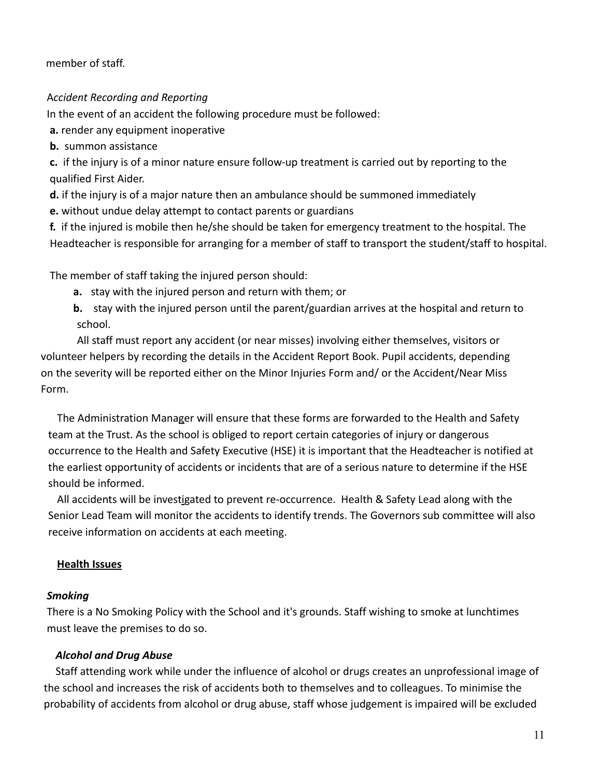member of staff.

### A*ccident Recording and Reporting*

In the event of an accident the following procedure must be followed:

**a.** render any equipment inoperative

**b.** summon assistance

**c.** if the injury is of a minor nature ensure follow-up treatment is carried out by reporting to the qualified First Aider.

**d.** if the injury is of a major nature then an ambulance should be summoned immediately

**e.** without undue delay attempt to contact parents or guardians

**f.** if the injured is mobile then he/she should be taken for emergency treatment to the hospital. The Headteacher is responsible for arranging for a member of staff to transport the student/staff to hospital.

The member of staff taking the injured person should:

- **a.** stay with the injured person and return with them; or
- **b.** stay with the injured person until the parent/guardian arrives at the hospital and return to school.

All staff must report any accident (or near misses) involving either themselves, visitors or volunteer helpers by recording the details in the Accident Report Book. Pupil accidents, depending on the severity will be reported either on the Minor Injuries Form and/ or the Accident/Near Miss Form.

The Administration Manager will ensure that these forms are forwarded to the Health and Safety team at the Trust. As the school is obliged to report certain categories of injury or dangerous occurrence to the Health and Safety Executive (HSE) it is important that the Headteacher is notified at the earliest opportunity of accidents or incidents that are of a serious nature to determine if the HSE should be informed.

All accidents will be investigated to prevent re-occurrence. Health & Safety Lead along with the Senior Lead Team will monitor the accidents to identify trends. The Governors sub committee will also receive information on accidents at each meeting.

### **Health Issues**

### *Smoking*

There is a No Smoking Policy with the School and it's grounds. Staff wishing to smoke at lunchtimes must leave the premises to do so.

### *Alcohol and Drug Abuse*

Staff attending work while under the influence of alcohol or drugs creates an unprofessional image of the school and increases the risk of accidents both to themselves and to colleagues. To minimise the probability of accidents from alcohol or drug abuse, staff whose judgement is impaired will be excluded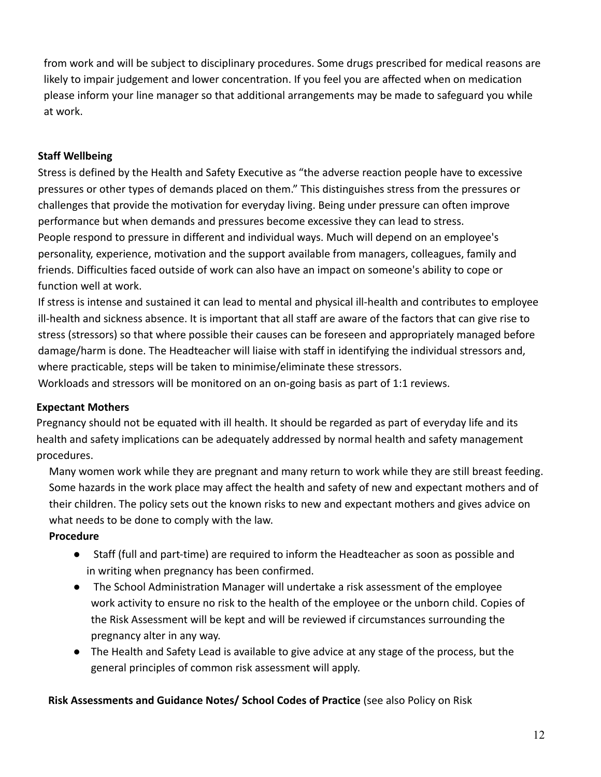from work and will be subject to disciplinary procedures. Some drugs prescribed for medical reasons are likely to impair judgement and lower concentration. If you feel you are affected when on medication please inform your line manager so that additional arrangements may be made to safeguard you while at work.

### **Staff Wellbeing**

Stress is defined by the Health and Safety Executive as "the adverse reaction people have to excessive pressures or other types of demands placed on them." This distinguishes stress from the pressures or challenges that provide the motivation for everyday living. Being under pressure can often improve performance but when demands and pressures become excessive they can lead to stress. People respond to pressure in different and individual ways. Much will depend on an employee's personality, experience, motivation and the support available from managers, colleagues, family and friends. Difficulties faced outside of work can also have an impact on someone's ability to cope or function well at work.

If stress is intense and sustained it can lead to mental and physical ill-health and contributes to employee ill-health and sickness absence. It is important that all staff are aware of the factors that can give rise to stress (stressors) so that where possible their causes can be foreseen and appropriately managed before damage/harm is done. The Headteacher will liaise with staff in identifying the individual stressors and, where practicable, steps will be taken to minimise/eliminate these stressors.

Workloads and stressors will be monitored on an on-going basis as part of 1:1 reviews.

### **Expectant Mothers**

Pregnancy should not be equated with ill health. It should be regarded as part of everyday life and its health and safety implications can be adequately addressed by normal health and safety management procedures.

Many women work while they are pregnant and many return to work while they are still breast feeding. Some hazards in the work place may affect the health and safety of new and expectant mothers and of their children. The policy sets out the known risks to new and expectant mothers and gives advice on what needs to be done to comply with the law.

### **Procedure**

- Staff (full and part-time) are required to inform the Headteacher as soon as possible and in writing when pregnancy has been confirmed.
- The School Administration Manager will undertake a risk assessment of the employee work activity to ensure no risk to the health of the employee or the unborn child. Copies of the Risk Assessment will be kept and will be reviewed if circumstances surrounding the pregnancy alter in any way.
- The Health and Safety Lead is available to give advice at any stage of the process, but the general principles of common risk assessment will apply.

**Risk Assessments and Guidance Notes/ School Codes of Practice** (see also Policy on Risk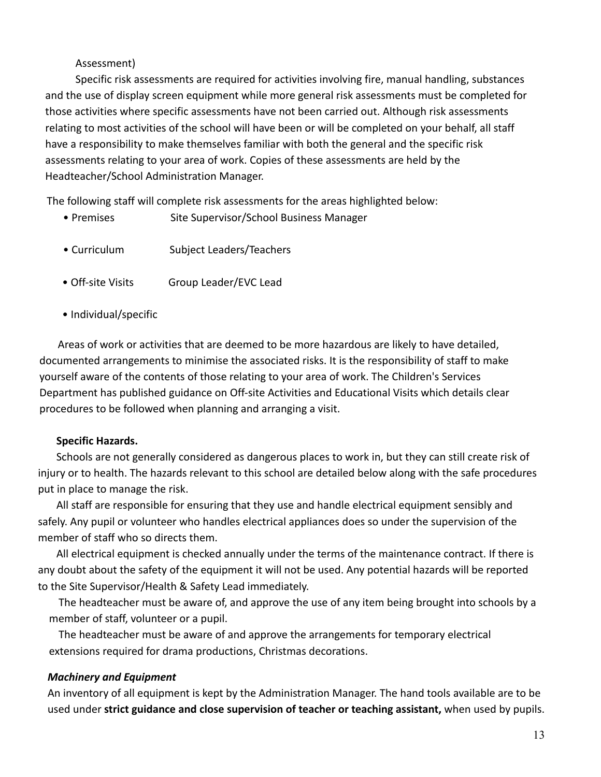#### Assessment)

Specific risk assessments are required for activities involving fire, manual handling, substances and the use of display screen equipment while more general risk assessments must be completed for those activities where specific assessments have not been carried out. Although risk assessments relating to most activities of the school will have been or will be completed on your behalf, all staff have a responsibility to make themselves familiar with both the general and the specific risk assessments relating to your area of work. Copies of these assessments are held by the Headteacher/School Administration Manager.

The following staff will complete risk assessments for the areas highlighted below:

- Premises Site Supervisor/School Business Manager
- Curriculum Subject Leaders/Teachers
- Off-site Visits Group Leader/EVC Lead
- Individual/specific

Areas of work or activities that are deemed to be more hazardous are likely to have detailed, documented arrangements to minimise the associated risks. It is the responsibility of staff to make yourself aware of the contents of those relating to your area of work. The Children's Services Department has published guidance on Off-site Activities and Educational Visits which details clear procedures to be followed when planning and arranging a visit.

#### **Specific Hazards.**

Schools are not generally considered as dangerous places to work in, but they can still create risk of injury or to health. The hazards relevant to this school are detailed below along with the safe procedures put in place to manage the risk.

All staff are responsible for ensuring that they use and handle electrical equipment sensibly and safely. Any pupil or volunteer who handles electrical appliances does so under the supervision of the member of staff who so directs them.

All electrical equipment is checked annually under the terms of the maintenance contract. If there is any doubt about the safety of the equipment it will not be used. Any potential hazards will be reported to the Site Supervisor/Health & Safety Lead immediately.

The headteacher must be aware of, and approve the use of any item being brought into schools by a member of staff, volunteer or a pupil.

The headteacher must be aware of and approve the arrangements for temporary electrical extensions required for drama productions, Christmas decorations.

### *Machinery and Equipment*

An inventory of all equipment is kept by the Administration Manager. The hand tools available are to be used under **strict guidance and close supervision of teacher or teaching assistant,** when used by pupils.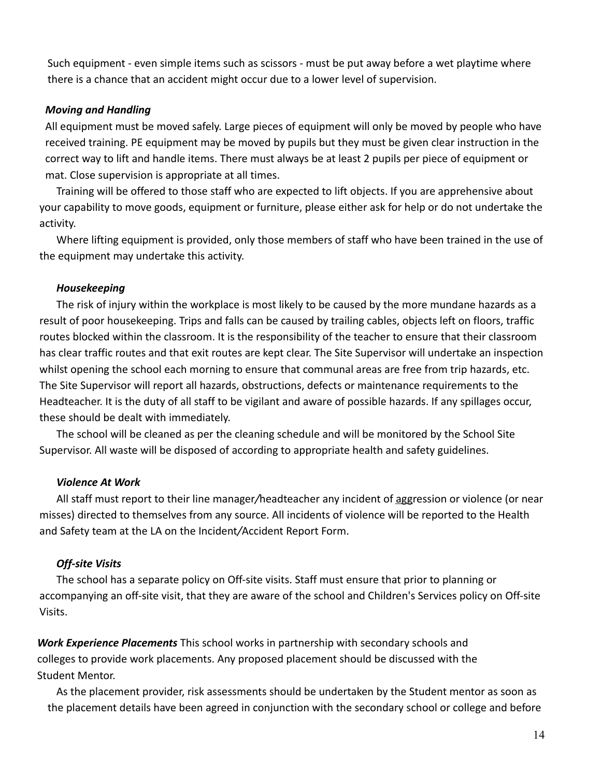Such equipment - even simple items such as scissors - must be put away before a wet playtime where there is a chance that an accident might occur due to a lower level of supervision.

### *Moving and Handling*

All equipment must be moved safely. Large pieces of equipment will only be moved by people who have received training. PE equipment may be moved by pupils but they must be given clear instruction in the correct way to lift and handle items. There must always be at least 2 pupils per piece of equipment or mat. Close supervision is appropriate at all times.

Training will be offered to those staff who are expected to lift objects. If you are apprehensive about your capability to move goods, equipment or furniture, please either ask for help or do not undertake the activity.

Where lifting equipment is provided, only those members of staff who have been trained in the use of the equipment may undertake this activity.

### *Housekeeping*

The risk of injury within the workplace is most likely to be caused by the more mundane hazards as a result of poor housekeeping. Trips and falls can be caused by trailing cables, objects left on floors, traffic routes blocked within the classroom. It is the responsibility of the teacher to ensure that their classroom has clear traffic routes and that exit routes are kept clear. The Site Supervisor will undertake an inspection whilst opening the school each morning to ensure that communal areas are free from trip hazards, etc. The Site Supervisor will report all hazards, obstructions, defects or maintenance requirements to the Headteacher. It is the duty of all staff to be vigilant and aware of possible hazards. If any spillages occur, these should be dealt with immediately.

The school will be cleaned as per the cleaning schedule and will be monitored by the School Site Supervisor. All waste will be disposed of according to appropriate health and safety guidelines.

## *Violence At Work*

All staff must report to their line manager*/*headteacher any incident of aggression or violence (or near misses) directed to themselves from any source. All incidents of violence will be reported to the Health and Safety team at the LA on the Incident*/*Accident Report Form.

## *Off-site Visits*

The school has a separate policy on Off-site visits. Staff must ensure that prior to planning or accompanying an off-site visit, that they are aware of the school and Children's Services policy on Off-site Visits.

*Work Experience Placements* This school works in partnership with secondary schools and colleges to provide work placements. Any proposed placement should be discussed with the Student Mentor.

As the placement provider, risk assessments should be undertaken by the Student mentor as soon as the placement details have been agreed in conjunction with the secondary school or college and before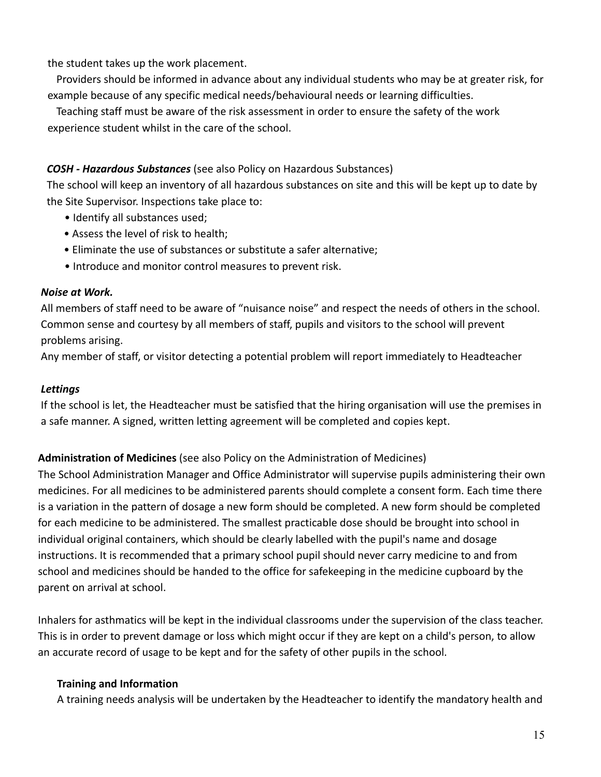the student takes up the work placement.

Providers should be informed in advance about any individual students who may be at greater risk, for example because of any specific medical needs/behavioural needs or learning difficulties.

Teaching staff must be aware of the risk assessment in order to ensure the safety of the work experience student whilst in the care of the school.

## *COSH - Hazardous Substances* (see also Policy on Hazardous Substances)

The school will keep an inventory of all hazardous substances on site and this will be kept up to date by the Site Supervisor. Inspections take place to:

- Identify all substances used;
- Assess the level of risk to health;
- Eliminate the use of substances or substitute a safer alternative;
- Introduce and monitor control measures to prevent risk.

## *Noise at Work.*

All members of staff need to be aware of "nuisance noise" and respect the needs of others in the school. Common sense and courtesy by all members of staff, pupils and visitors to the school will prevent problems arising.

Any member of staff, or visitor detecting a potential problem will report immediately to Headteacher

# *Lettings*

If the school is let, the Headteacher must be satisfied that the hiring organisation will use the premises in a safe manner. A signed, written letting agreement will be completed and copies kept.

# **Administration of Medicines** (see also Policy on the Administration of Medicines)

The School Administration Manager and Office Administrator will supervise pupils administering their own medicines. For all medicines to be administered parents should complete a consent form. Each time there is a variation in the pattern of dosage a new form should be completed. A new form should be completed for each medicine to be administered. The smallest practicable dose should be brought into school in individual original containers, which should be clearly labelled with the pupil's name and dosage instructions. It is recommended that a primary school pupil should never carry medicine to and from school and medicines should be handed to the office for safekeeping in the medicine cupboard by the parent on arrival at school.

Inhalers for asthmatics will be kept in the individual classrooms under the supervision of the class teacher. This is in order to prevent damage or loss which might occur if they are kept on a child's person, to allow an accurate record of usage to be kept and for the safety of other pupils in the school.

## **Training and Information**

A training needs analysis will be undertaken by the Headteacher to identify the mandatory health and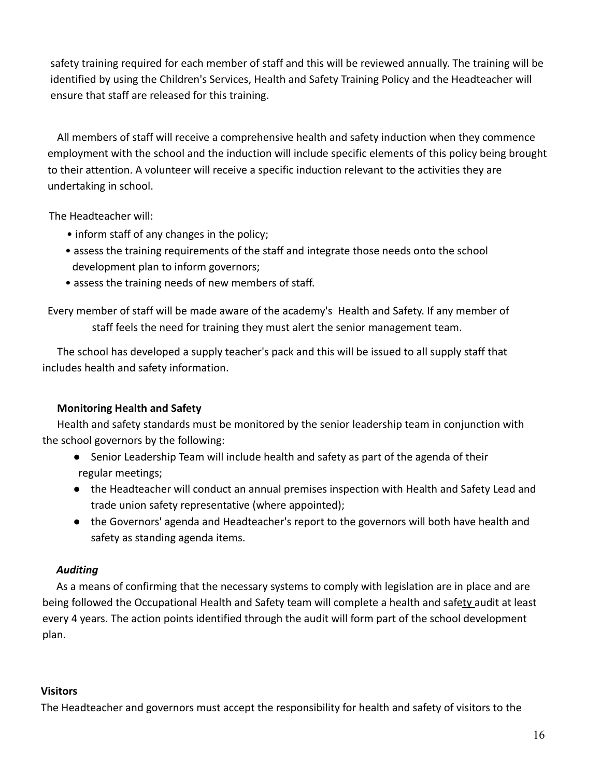safety training required for each member of staff and this will be reviewed annually. The training will be identified by using the Children's Services, Health and Safety Training Policy and the Headteacher will ensure that staff are released for this training.

All members of staff will receive a comprehensive health and safety induction when they commence employment with the school and the induction will include specific elements of this policy being brought to their attention. A volunteer will receive a specific induction relevant to the activities they are undertaking in school.

The Headteacher will:

- inform staff of any changes in the policy;
- assess the training requirements of the staff and integrate those needs onto the school development plan to inform governors;
- assess the training needs of new members of staff.

Every member of staff will be made aware of the academy's Health and Safety. If any member of staff feels the need for training they must alert the senior management team.

The school has developed a supply teacher's pack and this will be issued to all supply staff that includes health and safety information.

## **Monitoring Health and Safety**

Health and safety standards must be monitored by the senior leadership team in conjunction with the school governors by the following:

- Senior Leadership Team will include health and safety as part of the agenda of their regular meetings;
- the Headteacher will conduct an annual premises inspection with Health and Safety Lead and trade union safety representative (where appointed);
- the Governors' agenda and Headteacher's report to the governors will both have health and safety as standing agenda items.

## *Auditing*

As a means of confirming that the necessary systems to comply with legislation are in place and are being followed the Occupational Health and Safety team will complete a health and safety audit at least every 4 years. The action points identified through the audit will form part of the school development plan.

## **Visitors**

The Headteacher and governors must accept the responsibility for health and safety of visitors to the